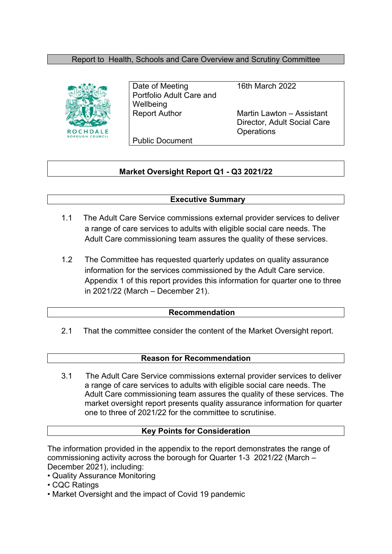# Report to Health, Schools and Care Overview and Scrutiny Committee



Date of Meeting 16th March 2022 Portfolio Adult Care and **Wellbeing** 

Report Author Martin Lawton – Assistant Director, Adult Social Care **Operations** 

Public Document

# **Market Oversight Report Q1 - Q3 2021/22**

### **Executive Summary**

- 1.1 The Adult Care Service commissions external provider services to deliver a range of care services to adults with eligible social care needs. The Adult Care commissioning team assures the quality of these services.
- 1.2 The Committee has requested quarterly updates on quality assurance information for the services commissioned by the Adult Care service. Appendix 1 of this report provides this information for quarter one to three in 2021/22 (March – December 21).

#### **Recommendation**

2.1 That the committee consider the content of the Market Oversight report.

#### **Reason for Recommendation**

3.1 The Adult Care Service commissions external provider services to deliver a range of care services to adults with eligible social care needs. The Adult Care commissioning team assures the quality of these services. The market oversight report presents quality assurance information for quarter one to three of 2021/22 for the committee to scrutinise.

### **Key Points for Consideration**

The information provided in the appendix to the report demonstrates the range of commissioning activity across the borough for Quarter 1-3 2021/22 (March – December 2021), including:

- Quality Assurance Monitoring
- CQC Ratings
- Market Oversight and the impact of Covid 19 pandemic